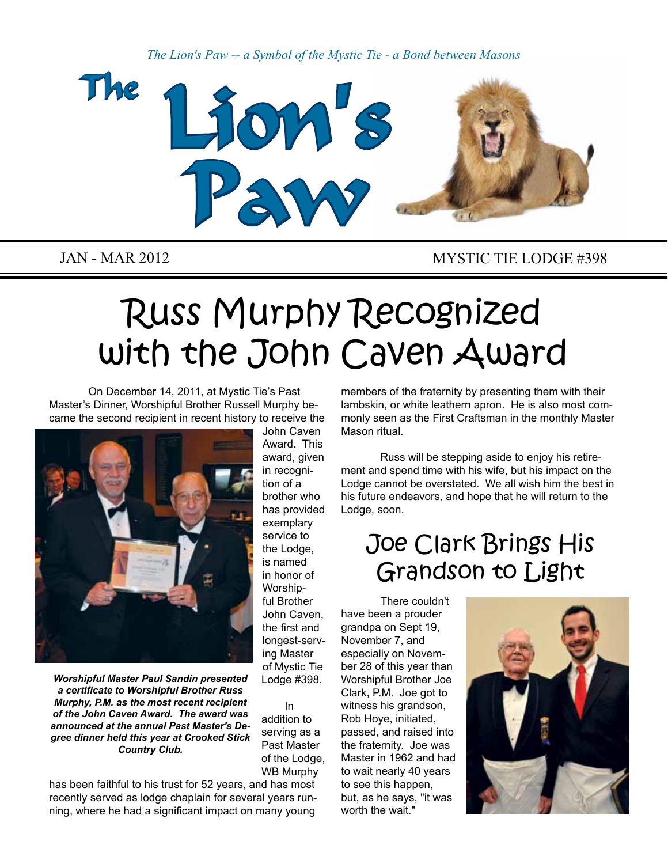*The Lion's Paw -- a Symbol of the Mystic Tie - a Bond between Masons*



### JAN - MAR 2012 MYSTIC TIE LODGE #398

# Russ Murphy Recognized with the John Caven Award

On December 14, 2011, at Mystic Tie's Past Master's Dinner, Worshipful Brother Russell Murphy became the second recipient in recent history to receive the



*Worshipful Master Paul Sandin presented a certificate to Worshipful Brother Russ Murphy, P.M. as the most recent recipient of the John Caven Award. The award was announced at the annual Past Master's Degree dinner held this year at Crooked Stick Country Club.*

John Caven Award. This award, given in recognition of a brother who has provided exemplary service to the Lodge, is named in honor of Worshipful Brother John Caven, the first and longest-serving Master of Mystic Tie Lodge #398.

In addition to serving as a Past Master of the Lodge, WB Murphy

has been faithful to his trust for 52 years, and has most recently served as lodge chaplain for several years running, where he had a significant impact on many young

members of the fraternity by presenting them with their lambskin, or white leathern apron. He is also most commonly seen as the First Craftsman in the monthly Master Mason ritual.

Russ will be stepping aside to enjoy his retirement and spend time with his wife, but his impact on the Lodge cannot be overstated. We all wish him the best in his future endeavors, and hope that he will return to the Lodge, soon.

## Joe Clark Brings His Grandson to Light

There couldn't have been a prouder grandpa on Sept 19, November 7, and especially on November 28 of this year than Worshipful Brother Joe Clark, P.M. Joe got to witness his grandson, Rob Hoye, initiated, passed, and raised into the fraternity. Joe was Master in 1962 and had to wait nearly 40 years to see this happen, but, as he says, "it was worth the wait."

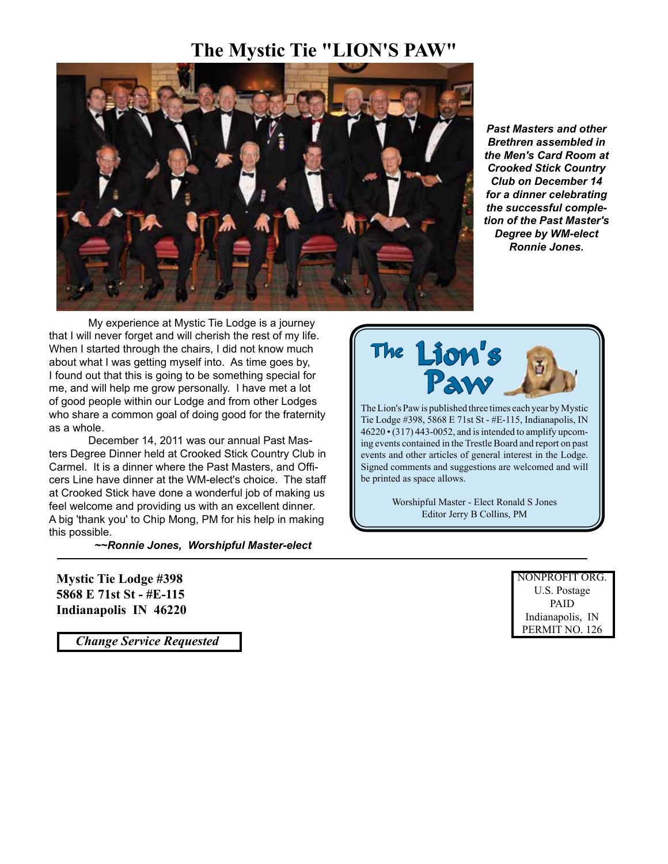### **The Mystic Tie "LION'S PAW"**



*Past Masters and other Brethren assembled in the Men's Card Room at Crooked Stick Country Club on December 14 for a dinner celebrating the successful completion of the Past Master's Degree by WM-elect Ronnie Jones.*

My experience at Mystic Tie Lodge is a journey that I will never forget and will cherish the rest of my life. When I started through the chairs, I did not know much about what I was getting myself into. As time goes by, I found out that this is going to be something special for me, and will help me grow personally. I have met a lot of good people within our Lodge and from other Lodges who share a common goal of doing good for the fraternity as a whole.

December 14, 2011 was our annual Past Masters Degree Dinner held at Crooked Stick Country Club in Carmel. It is a dinner where the Past Masters, and Officers Line have dinner at the WM-elect's choice. The staff at Crooked Stick have done a wonderful job of making us feel welcome and providing us with an excellent dinner. A big 'thank you' to Chip Mong, PM for his help in making this possible.

*~~Ronnie Jones, Worshipful Master-elect*

**Mystic Tie Lodge #398 5868 E 71st St - #E-115 Indianapolis IN 46220**

 *Change Service Requested*



The Lion's Paw is published three times each year by Mystic Tie Lodge #398, 5868 E 71st St - #E-115, Indianapolis, IN 46220 • (317) 443-0052, and is intended to amplify upcoming events contained in the Trestle Board and report on past events and other articles of general interest in the Lodge. Signed comments and suggestions are welcomed and will be printed as space allows.

> Worshipful Master - Elect Ronald S Jones Editor Jerry B Collins, PM

> > NONPROFIT ORG. U.S. Postage PAID Indianapolis, IN PERMIT NO. 126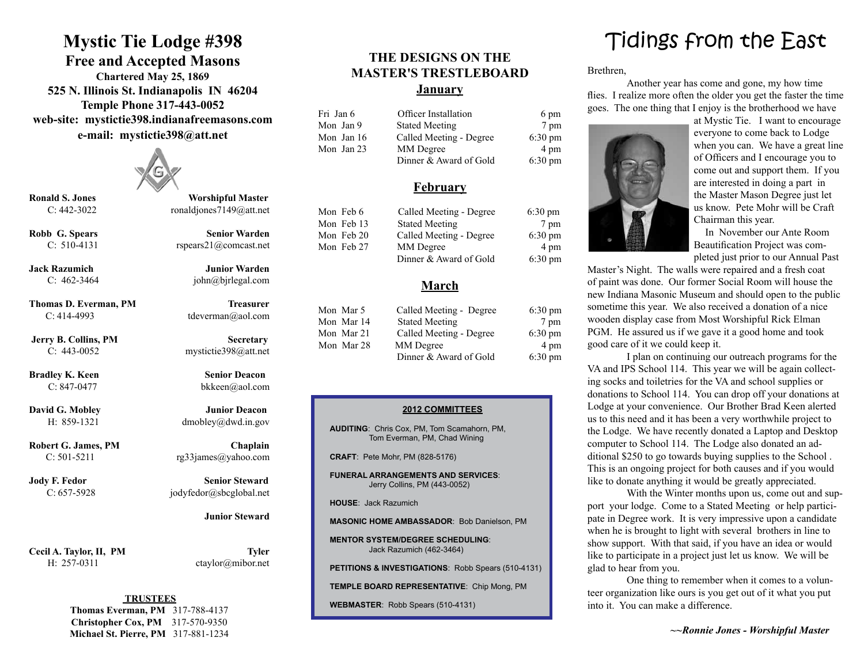### **Mystic Tie Lodge #398**

**Free and Accepted Masons Chartered May 25, 1869 525 N. Illinois St. Indianapolis IN 46204 Temple Phone 317-443-0052 web-site: mystictie398.indianafreemasons.com e-mail: mystictie398@att.net**



**Ronald S. Jones Worshipful Master** 

**Thomas D. Everman, PM Treasurer** C: 414-4993 tdeverman@aol.com

**Bradley K. Keen Senior Deacon** 

Cecil A. Taylor, II, PM Tyler

C: 442-3022 ronaldjones7149@att.net

**Robb G. Spears Senior Warden** C: 510-4131 rspears21@comcast.net

**Jack Razumich Junior Warden** C:  $462-3464$  john@bjrlegal.com

**Jerry B. Collins, PM Secretary** C: 443-0052 mystictie398@att.net

C: 847-0477 bkkeen@aol.com

**David G. Mobley Junior Deacon** H: 859-1321 dmobley@dwd.in.gov

**Robert G. James, PM Chaplain** C:  $501-5211$  rg33james@yahoo.com

**Jody F. Fedor Senior Steward** C: 657-5928 jodyfedor@sbcglobal.net

 **Junior Steward**

H: 257-0311 ctaylor@mibor.net

#### **TRUSTEES**

**Thomas Everman, PM** 317-788-4137 **Christopher Cox, PM** 317-570-9350 **Michael St. Pierre, PM** 317-881-1234

#### **THE DESIGNS ON THE MASTER'S TRESTLEBOARD January**

| Fri Jan 6  | <b>Officer Installation</b> | 6 pm              |
|------------|-----------------------------|-------------------|
| Mon Jan 9  | <b>Stated Meeting</b>       | 7 pm              |
| Mon Jan 16 | Called Meeting - Degree     | $6:30 \text{ pm}$ |
| Mon Jan 23 | MM Degree                   | 4 pm              |
|            | Dinner & Award of Gold      | $6:30 \text{ pm}$ |

#### **February**

| Mon Feb 6  | Called Meeting - Degree | $6:30 \text{ pm}$ |
|------------|-------------------------|-------------------|
| Mon Feb 13 | <b>Stated Meeting</b>   | 7 pm              |
| Mon Feb 20 | Called Meeting - Degree | $6:30 \text{ pm}$ |
| Mon Feb 27 | MM Degree               | 4 pm              |
|            | Dinner & Award of Gold  | $6:30 \text{ pm}$ |

#### **March**

| Mon Mar 5  | Called Meeting - Degree | $6:30 \text{ pm}$ |
|------------|-------------------------|-------------------|
| Mon Mar 14 | <b>Stated Meeting</b>   | 7 pm              |
| Mon Mar 21 | Called Meeting - Degree | $6:30 \text{ pm}$ |
| Mon Mar 28 | MM Degree               | 4 pm              |
|            | Dinner & Award of Gold  | $6:30 \text{ pm}$ |

#### **2012 COMMITTEES**

**AUDITING**: Chris Cox, PM, Tom Scamahorn, PM, Tom Everman, PM, Chad Wining

**CRAFT**: Pete Mohr, PM (828-5176)

**FUNERAL ARRANGEMENTS AND SERVICES**: Jerry Collins, PM (443-0052)

**HOUSE**: Jack Razumich

**MASONIC HOME AMBASSADOR**: Bob Danielson, PM

**MENTOR SYSTEM/DEGREE SCHEDULING**: Jack Razumich (462-3464)

**PETITIONS & INVESTIGATIONS**: Robb Spears (510-4131)

**TEMPLE BOARD REPRESENTATIVE**: Chip Mong, PM

**WEBMASTER**: Robb Spears (510-4131)

### Tidings from the East

Brethren,

Another year has come and gone, my how time flies. I realize more often the older you get the faster the time goes. The one thing that I enjoy is the brotherhood we have



at Mystic Tie. I want to encourage everyone to come back to Lodge when you can. We have a great line of Officers and I encourage you to come out and support them. If you are interested in doing a part in the Master Mason Degree just let us know. Pete Mohr will be Craft Chairman this year.

In November our Ante Room Beautification Project was completed just prior to our Annual Past

Master's Night. The walls were repaired and a fresh coat of paint was done. Our former Social Room will house the new Indiana Masonic Museum and should open to the public sometime this year. We also received a donation of a nice wooden display case from Most Worshipful Rick Elman PGM. He assured us if we gave it a good home and took good care of it we could keep it.

I plan on continuing our outreach programs for the VA and IPS School 114. This year we will be again collecting socks and toiletries for the VA and school supplies or donations to School 114. You can drop off your donations at Lodge at your convenience. Our Brother Brad Keen alerted us to this need and it has been a very worthwhile project to the Lodge. We have recently donated a Laptop and Desktop computer to School 114. The Lodge also donated an additional \$250 to go towards buying supplies to the School . This is an ongoing project for both causes and if you would like to donate anything it would be greatly appreciated.

With the Winter months upon us, come out and support your lodge. Come to a Stated Meeting or help participate in Degree work. It is very impressive upon a candidate when he is brought to light with several brothers in line to show support. With that said, if you have an idea or would like to participate in a project just let us know. We will be glad to hear from you.

One thing to remember when it comes to a volunteer organization like ours is you get out of it what you put into it. You can make a difference.